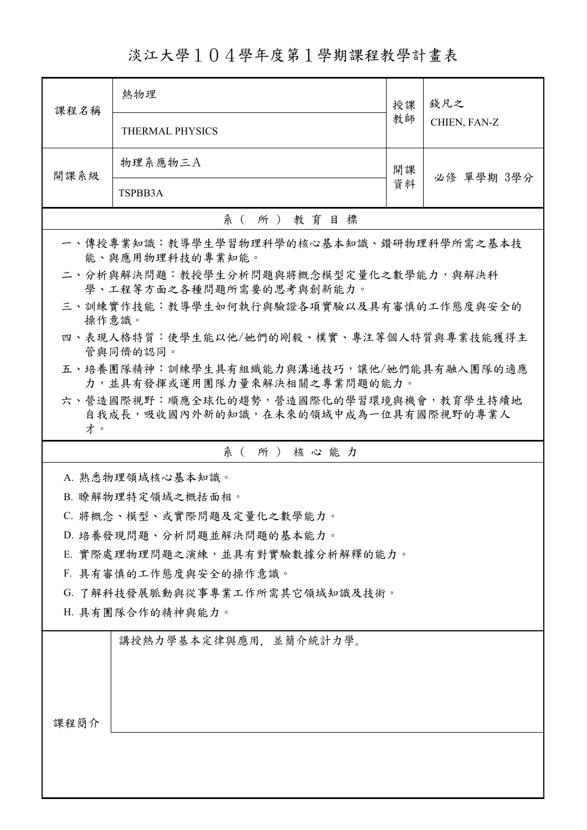淡江大學104學年度第1學期課程教學計畫表

| 課程名稱                                                              | 熱物理                                                                             | 授課<br>教師 | 錢凡之<br>CHIEN, FAN-Z |
|-------------------------------------------------------------------|---------------------------------------------------------------------------------|----------|---------------------|
|                                                                   | <b>THERMAL PHYSICS</b>                                                          |          |                     |
| 開課系級                                                              | 物理系應物三A                                                                         | 開課       | 必修 單學期 3學分          |
|                                                                   | TSPBB3A                                                                         | 資料       |                     |
|                                                                   | 系(所)教育目標                                                                        |          |                     |
| 一、傳授專業知識:教導學生學習物理科學的核心基本知識、鑽研物理科學所需之基本技<br>能、與應用物理科技的專業知能。        |                                                                                 |          |                     |
| 二、分析與解決問題:教授學生分析問題與將概念模型定量化之數學能力,與解決科<br>學、工程等方面之各種問題所需要的思考與創新能力。 |                                                                                 |          |                     |
| 操作意識。                                                             | 三、訓練實作技能:教導學生如何執行與驗證各項實驗以及具有審慎的工作態度與安全的                                         |          |                     |
|                                                                   | 四、表現人格特質:使學生能以他/她們的剛毅、樸實、專注等個人特質與專業技能獲得主<br>管與同儕的認同。                            |          |                     |
|                                                                   | 五、培養團隊精神:訓練學生具有組織能力與溝通技巧,讓他/她們能具有融入團隊的適應<br>力,並具有發揮或運用團隊力量來解決相關之專業問題的能力。        |          |                     |
| 才。                                                                | 六、營造國際視野:順應全球化的趨勢,營造國際化的學習環境與機會,教育學生持續地<br>自我成長,吸收國內外新的知識,在未來的領域中成為一位具有國際視野的專業人 |          |                     |
|                                                                   | 系(所)核心能力                                                                        |          |                     |
|                                                                   | A. 熟悉物理領域核心基本知識。                                                                |          |                     |
|                                                                   | B. 瞭解物理特定領域之概括面相。                                                               |          |                     |
| C. 將概念、模型、或實際問題及定量化之數學能力。                                         |                                                                                 |          |                     |
| D. 培養發現問題、分析問題並解決問題的基本能力。                                         |                                                                                 |          |                     |
|                                                                   | E. 實際處理物理問題之演練,並具有對實驗數據分析解釋的能力。                                                 |          |                     |
|                                                                   | F. 具有審慎的工作態度與安全的操作意識。                                                           |          |                     |
|                                                                   | G. 了解科技發展脈動與從事專業工作所需其它領域知識及技術。                                                  |          |                     |
| H. 具有團隊合作的精神與能力。                                                  |                                                                                 |          |                     |
|                                                                   | 講授熱力學基本定律與應用,並簡介統計力學。                                                           |          |                     |
|                                                                   |                                                                                 |          |                     |
|                                                                   |                                                                                 |          |                     |
|                                                                   |                                                                                 |          |                     |
| 課程簡介                                                              |                                                                                 |          |                     |
|                                                                   |                                                                                 |          |                     |
|                                                                   |                                                                                 |          |                     |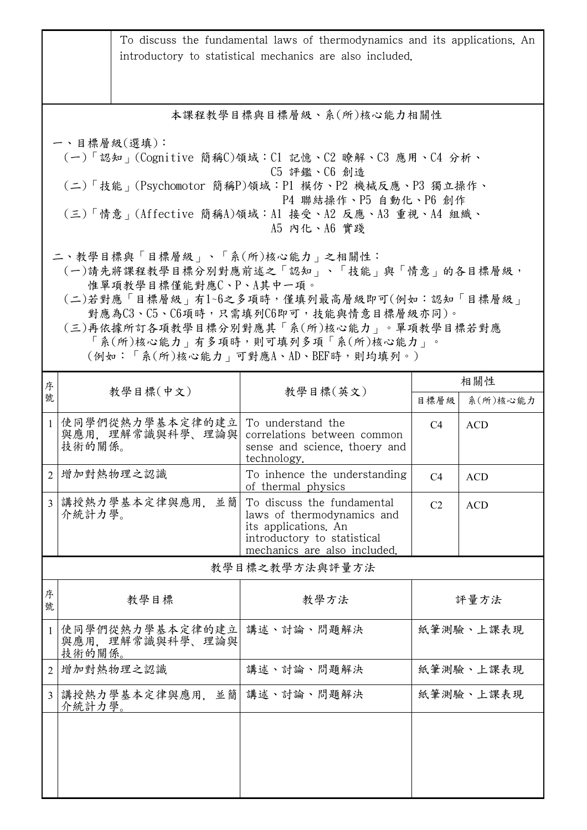|                                                                                                                                                                                                                                                                                                                    |        |                                     | To discuss the fundamental laws of thermodynamics and its applications. An<br>introductory to statistical mechanics are also included.          |                |            |
|--------------------------------------------------------------------------------------------------------------------------------------------------------------------------------------------------------------------------------------------------------------------------------------------------------------------|--------|-------------------------------------|-------------------------------------------------------------------------------------------------------------------------------------------------|----------------|------------|
|                                                                                                                                                                                                                                                                                                                    |        |                                     | 本課程教學目標與目標層級、系(所)核心能力相關性                                                                                                                        |                |            |
| 一、目標層級(選填):<br>(一)「認知」(Cognitive 簡稱C)領域:Cl 記憶、C2 瞭解、C3 應用、C4 分析、<br>C5 評鑑、C6 創造<br>(二)「技能」(Psychomotor 簡稱P)領域:P1 模仿、P2 機械反應、P3 獨立操作、<br>P4 聯結操作、P5 自動化、P6 創作<br>(三)「情意」(Affective 簡稱A)領域:Al 接受、A2 反應、A3 重視、A4 組織、<br>A5 内化、A6 實踐                                                                                   |        |                                     |                                                                                                                                                 |                |            |
| 二、教學目標與「目標層級」、「系(所)核心能力」之相關性:<br>(一)請先將課程教學目標分別對應前述之「認知」、「技能」與「情意」的各目標層級,<br>惟單項教學目標僅能對應C、P、A其中一項。<br>(二)若對應「目標層級」有1~6之多項時,僅填列最高層級即可(例如:認知「目標層級」<br>對應為C3、C5、C6項時,只需填列C6即可,技能與情意目標層級亦同)。<br>(三)再依據所訂各項教學目標分別對應其「系(所)核心能力」。單項教學目標若對應<br>「系(所)核心能力   有多項時,則可填列多項「系(所)核心能力   。<br>(例如:「系(所)核心能力   可對應A、AD、BEF時,則均填列。) |        |                                     |                                                                                                                                                 |                |            |
| 序                                                                                                                                                                                                                                                                                                                  |        | 教學目標(中文)                            | 教學目標(英文)                                                                                                                                        |                | 相關性        |
| 號                                                                                                                                                                                                                                                                                                                  |        |                                     |                                                                                                                                                 | 目標層級           | 系(所)核心能力   |
| $\mathbf{1}$                                                                                                                                                                                                                                                                                                       | 技術的關係。 | 使同學們從熱力學基本定律的建立 <br>與應用,理解常識與科學、理論與 | To understand the<br>correlations between common<br>sense and science, thoery and<br>technology.                                                | C4             | <b>ACD</b> |
|                                                                                                                                                                                                                                                                                                                    |        | 2 增加對熱物理之認識                         | To inhence the understanding<br>of thermal physics                                                                                              | C4             | <b>ACD</b> |
| $\overline{3}$                                                                                                                                                                                                                                                                                                     | 介統計力學。 | 講授熱力學基本定律與應用,<br>並簡                 | To discuss the fundamental<br>laws of thermodynamics and<br>its applications. An<br>introductory to statistical<br>mechanics are also included. | C <sub>2</sub> | <b>ACD</b> |
|                                                                                                                                                                                                                                                                                                                    |        |                                     | 教學目標之教學方法與評量方法                                                                                                                                  |                |            |
| 序<br>號                                                                                                                                                                                                                                                                                                             |        | 教學目標                                | 教學方法                                                                                                                                            | 評量方法           |            |
|                                                                                                                                                                                                                                                                                                                    | 技術的關係。 | 使同學們從熱力學基本定律的建立 <br>與應用,理解常識與科學、理論與 | 講述、討論、問題解決                                                                                                                                      | 紙筆測驗、上課表現      |            |
| $\overline{2}$                                                                                                                                                                                                                                                                                                     |        | 增加對熱物理之認識                           | 講述、討論、問題解決                                                                                                                                      | 紙筆測驗、上課表現      |            |
| 3                                                                                                                                                                                                                                                                                                                  | 介統計力學。 | 講授熱力學基本定律與應用,並簡                     | 講述、討論、問題解決                                                                                                                                      | 紙筆測驗、上課表現      |            |
|                                                                                                                                                                                                                                                                                                                    |        |                                     |                                                                                                                                                 |                |            |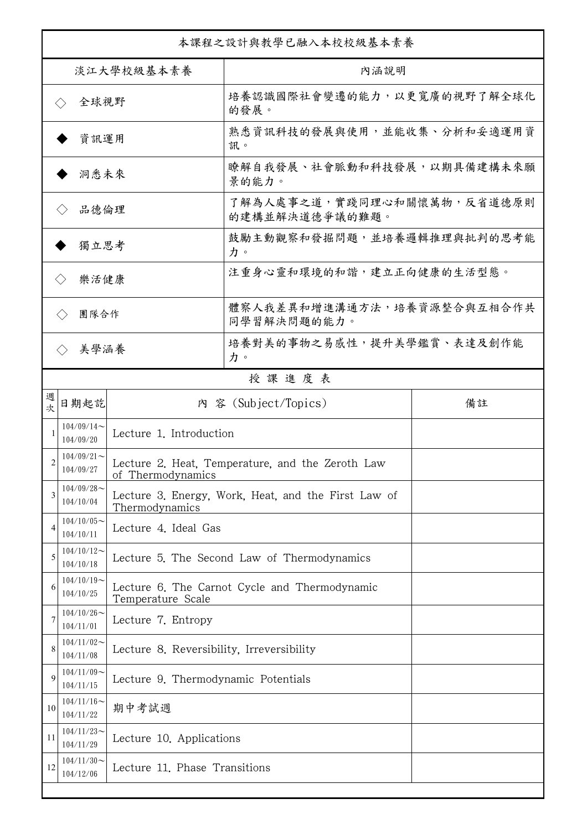|                              | 本課程之設計與教學已融入本校校級基本素養       |                                           |                                                     |    |  |
|------------------------------|----------------------------|-------------------------------------------|-----------------------------------------------------|----|--|
| 淡江大學校級基本素養                   |                            |                                           | 內涵說明                                                |    |  |
| 全球視野<br>$\langle \ \rangle$  |                            |                                           | 培養認識國際社會變遷的能力,以更寬廣的視野了解全球化<br>的發展。                  |    |  |
|                              | 資訊運用                       |                                           | 熟悉資訊科技的發展與使用,並能收集、分析和妥適運用資<br>訊。                    |    |  |
|                              | 洞悉未來                       |                                           | 瞭解自我發展、社會脈動和科技發展,以期具備建構未來願<br>景的能力。                 |    |  |
| 品德倫理                         |                            |                                           | 了解為人處事之道,實踐同理心和關懷萬物,反省道德原則<br>的建構並解決道德爭議的難題。        |    |  |
| 獨立思考                         |                            |                                           | 鼓勵主動觀察和發掘問題,並培養邏輯推理與批判的思考能<br>力。                    |    |  |
| 樂活健康<br>$\langle \, \rangle$ |                            |                                           | 注重身心靈和環境的和諧,建立正向健康的生活型態。                            |    |  |
|                              | 團隊合作<br>$\langle \rangle$  |                                           | 體察人我差異和增進溝通方法,培養資源整合與互相合作共<br>同學習解決問題的能力。           |    |  |
|                              | 美學涵養<br>$\langle \rangle$  |                                           | 培養對美的事物之易感性,提升美學鑑賞、表達及創作能<br>力。                     |    |  |
|                              |                            |                                           | 授課進度表                                               |    |  |
| 週<br>欤                       | 日期起訖                       |                                           | 內 容 (Subject/Topics)                                | 備註 |  |
|                              | $104/09/14$ ~<br>104/09/20 | Lecture 1. Introduction                   |                                                     |    |  |
| 2                            | $104/09/21$ ~<br>104/09/27 | of Thermodynamics                         | Lecture 2. Heat, Temperature, and the Zeroth Law    |    |  |
| 3                            | $104/09/28$ ~<br>104/10/04 | Thermodynamics                            | Lecture 3. Energy, Work, Heat, and the First Law of |    |  |
| 4                            | $104/10/05$ ~<br>104/10/11 | Lecture 4. Ideal Gas                      |                                                     |    |  |
| 5                            | $104/10/12$ ~<br>104/10/18 |                                           | Lecture 5. The Second Law of Thermodynamics         |    |  |
| 6                            | $104/10/19$ ~<br>104/10/25 | Temperature Scale                         | Lecture 6. The Carnot Cycle and Thermodynamic       |    |  |
| 7                            | $104/10/26$ ~<br>104/11/01 | Lecture 7. Entropy                        |                                                     |    |  |
| 8                            | $104/11/02$ ~<br>104/11/08 | Lecture 8. Reversibility, Irreversibility |                                                     |    |  |
| 9                            | $104/11/09$ ~<br>104/11/15 | Lecture 9. Thermodynamic Potentials       |                                                     |    |  |
| 10                           | $104/11/16$ ~<br>104/11/22 | 期中考試週                                     |                                                     |    |  |
| 11                           | $104/11/23$ ~<br>104/11/29 | Lecture 10. Applications                  |                                                     |    |  |
| 12                           | $104/11/30$ ~<br>104/12/06 | Lecture 11. Phase Transitions             |                                                     |    |  |